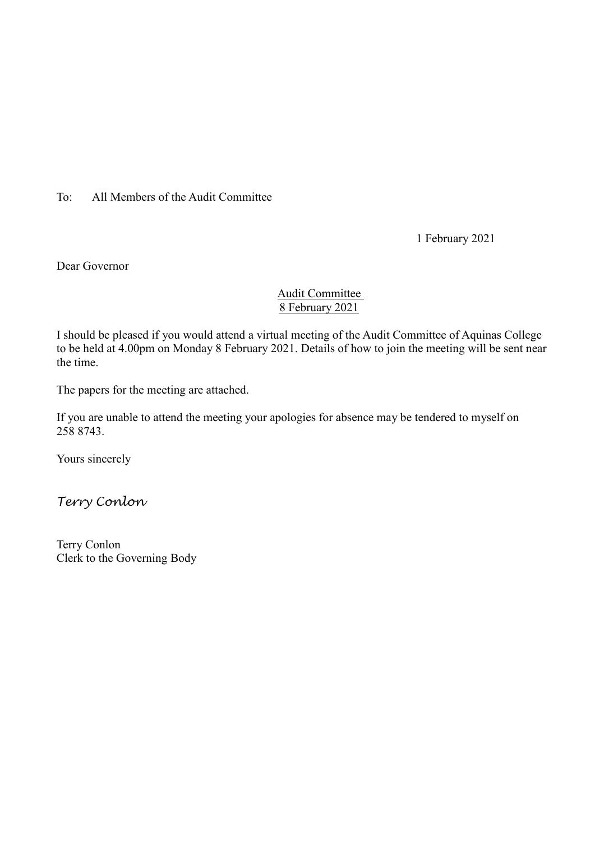To: All Members of the Audit Committee

1 February 2021

Dear Governor

### Audit Committee 8 February 2021

I should be pleased if you would attend a virtual meeting of the Audit Committee of Aquinas College to be held at 4.00pm on Monday 8 February 2021. Details of how to join the meeting will be sent near the time.

The papers for the meeting are attached.

If you are unable to attend the meeting your apologies for absence may be tendered to myself on 258 8743.

Yours sincerely

*Terry Conlon*

Terry Conlon Clerk to the Governing Body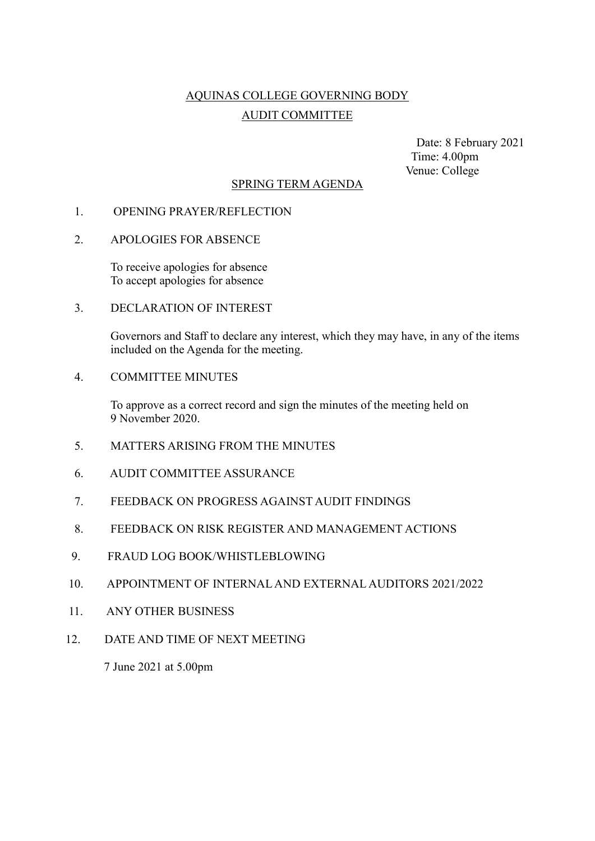# AQUINAS COLLEGE GOVERNING BODY AUDIT COMMITTEE

 Date: 8 February 2021 Time: 4.00pm Venue: College

### SPRING TERM AGENDA

### 1. OPENING PRAYER/REFLECTION

#### 2. APOLOGIES FOR ABSENCE

To receive apologies for absence To accept apologies for absence

3. DECLARATION OF INTEREST

Governors and Staff to declare any interest, which they may have, in any of the items included on the Agenda for the meeting.

4. COMMITTEE MINUTES

To approve as a correct record and sign the minutes of the meeting held on 9 November 2020.

- 5. MATTERS ARISING FROM THE MINUTES
- 6. AUDIT COMMITTEE ASSURANCE
- 7. FEEDBACK ON PROGRESS AGAINST AUDIT FINDINGS
- 8. FEEDBACK ON RISK REGISTER AND MANAGEMENT ACTIONS
- 9. FRAUD LOG BOOK/WHISTLEBLOWING
- 10. APPOINTMENT OF INTERNAL AND EXTERNAL AUDITORS 2021/2022
- 11. ANY OTHER BUSINESS
- 12. DATE AND TIME OF NEXT MEETING

7 June 2021 at 5.00pm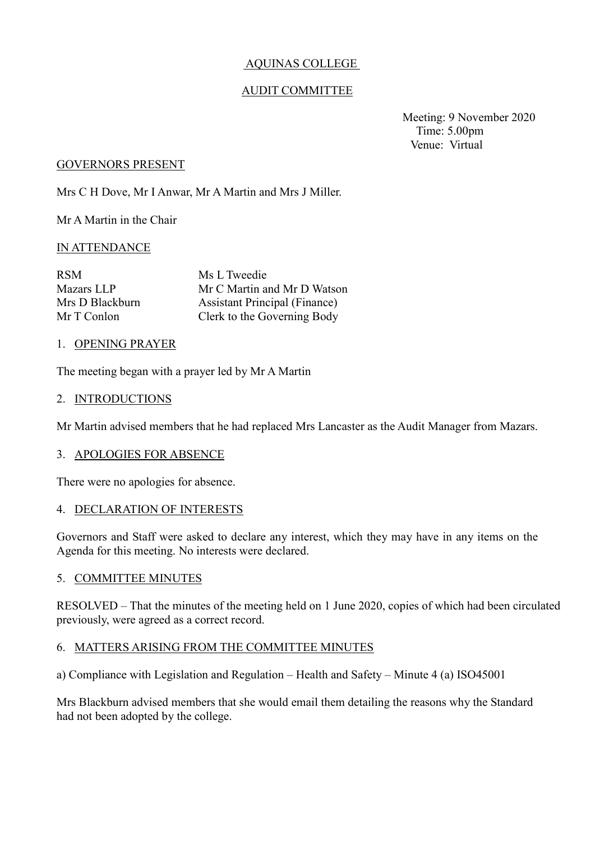### AQUINAS COLLEGE

### AUDIT COMMITTEE

 Meeting: 9 November 2020 Time: 5.00pm Venue: Virtual

#### GOVERNORS PRESENT

Mrs C H Dove, Mr I Anwar, Mr A Martin and Mrs J Miller.

Mr A Martin in the Chair

### IN ATTENDANCE

| Ms L Tweedie                         |
|--------------------------------------|
| Mr C Martin and Mr D Watson          |
| <b>Assistant Principal (Finance)</b> |
| Clerk to the Governing Body          |
|                                      |

#### 1. OPENING PRAYER

The meeting began with a prayer led by Mr A Martin

#### 2. INTRODUCTIONS

Mr Martin advised members that he had replaced Mrs Lancaster as the Audit Manager from Mazars.

#### 3. APOLOGIES FOR ABSENCE

There were no apologies for absence.

#### 4. DECLARATION OF INTERESTS

Governors and Staff were asked to declare any interest, which they may have in any items on the Agenda for this meeting. No interests were declared.

#### 5. COMMITTEE MINUTES

RESOLVED – That the minutes of the meeting held on 1 June 2020, copies of which had been circulated previously, were agreed as a correct record.

#### 6. MATTERS ARISING FROM THE COMMITTEE MINUTES

a) Compliance with Legislation and Regulation – Health and Safety – Minute 4 (a) ISO45001

Mrs Blackburn advised members that she would email them detailing the reasons why the Standard had not been adopted by the college.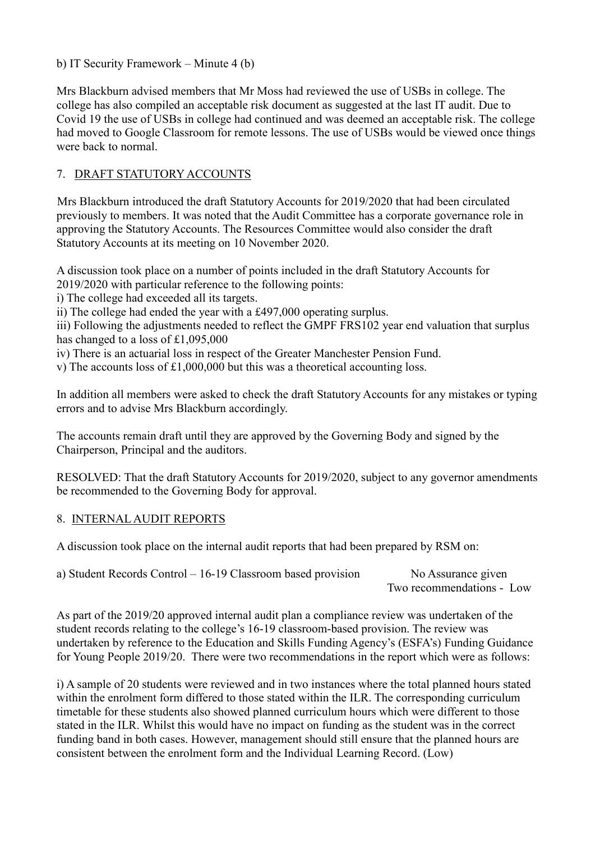b) IT Security Framework – Minute 4 (b)

Mrs Blackburn advised members that Mr Moss had reviewed the use of USBs in college. The college has also compiled an acceptable risk document as suggested at the last IT audit. Due to Covid 19 the use of USBs in college had continued and was deemed an acceptable risk. The college had moved to Google Classroom for remote lessons. The use of USBs would be viewed once things were back to normal.

## 7. DRAFT STATUTORY ACCOUNTS

 Mrs Blackburn introduced the draft Statutory Accounts for 2019/2020 that had been circulated previously to members. It was noted that the Audit Committee has a corporate governance role in approving the Statutory Accounts. The Resources Committee would also consider the draft Statutory Accounts at its meeting on 10 November 2020.

A discussion took place on a number of points included in the draft Statutory Accounts for 2019/2020 with particular reference to the following points:

i) The college had exceeded all its targets.

ii) The college had ended the year with a £497,000 operating surplus.

iii) Following the adjustments needed to reflect the GMPF FRS102 year end valuation that surplus has changed to a loss of £1,095,000

iv) There is an actuarial loss in respect of the Greater Manchester Pension Fund.

v) The accounts loss of £1,000,000 but this was a theoretical accounting loss.

In addition all members were asked to check the draft Statutory Accounts for any mistakes or typing errors and to advise Mrs Blackburn accordingly.

The accounts remain draft until they are approved by the Governing Body and signed by the Chairperson, Principal and the auditors.

RESOLVED: That the draft Statutory Accounts for 2019/2020, subject to any governor amendments be recommended to the Governing Body for approval.

## 8. INTERNAL AUDIT REPORTS

A discussion took place on the internal audit reports that had been prepared by RSM on:

a) Student Records Control – 16-19 Classroom based provision No Assurance given Two recommendations - Low

As part of the 2019/20 approved internal audit plan a compliance review was undertaken of the student records relating to the college's 16-19 classroom-based provision. The review was undertaken by reference to the Education and Skills Funding Agency's (ESFA's) Funding Guidance for Young People 2019/20. There were two recommendations in the report which were as follows:

i) A sample of 20 students were reviewed and in two instances where the total planned hours stated within the enrolment form differed to those stated within the ILR. The corresponding curriculum timetable for these students also showed planned curriculum hours which were different to those stated in the ILR. Whilst this would have no impact on funding as the student was in the correct funding band in both cases. However, management should still ensure that the planned hours are consistent between the enrolment form and the Individual Learning Record. (Low)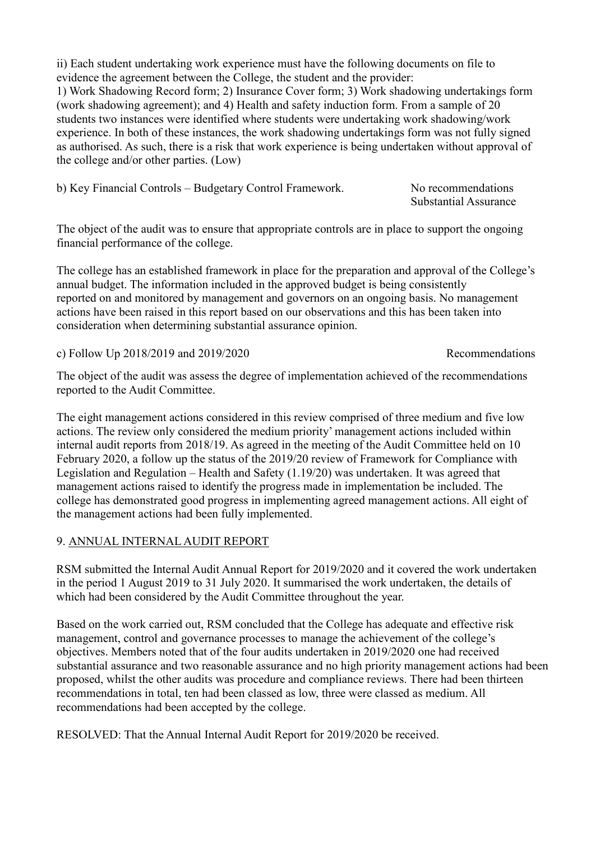ii) Each student undertaking work experience must have the following documents on file to evidence the agreement between the College, the student and the provider:

1) Work Shadowing Record form; 2) Insurance Cover form; 3) Work shadowing undertakings form (work shadowing agreement); and 4) Health and safety induction form. From a sample of 20 students two instances were identified where students were undertaking work shadowing/work experience. In both of these instances, the work shadowing undertakings form was not fully signed as authorised. As such, there is a risk that work experience is being undertaken without approval of the college and/or other parties. (Low)

| b) Key Financial Controls – Budgetary Control Framework. | No recommendations           |
|----------------------------------------------------------|------------------------------|
|                                                          | <b>Substantial Assurance</b> |

The object of the audit was to ensure that appropriate controls are in place to support the ongoing financial performance of the college.

The college has an established framework in place for the preparation and approval of the College's annual budget. The information included in the approved budget is being consistently reported on and monitored by management and governors on an ongoing basis. No management actions have been raised in this report based on our observations and this has been taken into consideration when determining substantial assurance opinion.

c) Follow Up 2018/2019 and 2019/2020 Recommendations

The object of the audit was assess the degree of implementation achieved of the recommendations reported to the Audit Committee.

The eight management actions considered in this review comprised of three medium and five low actions. The review only considered the medium priority' management actions included within internal audit reports from 2018/19. As agreed in the meeting of the Audit Committee held on 10 February 2020, a follow up the status of the 2019/20 review of Framework for Compliance with Legislation and Regulation – Health and Safety (1.19/20) was undertaken. It was agreed that management actions raised to identify the progress made in implementation be included. The college has demonstrated good progress in implementing agreed management actions. All eight of the management actions had been fully implemented.

## 9. ANNUAL INTERNAL AUDIT REPORT

RSM submitted the Internal Audit Annual Report for 2019/2020 and it covered the work undertaken in the period 1 August 2019 to 31 July 2020. It summarised the work undertaken, the details of which had been considered by the Audit Committee throughout the year.

Based on the work carried out, RSM concluded that the College has adequate and effective risk management, control and governance processes to manage the achievement of the college's objectives. Members noted that of the four audits undertaken in 2019/2020 one had received substantial assurance and two reasonable assurance and no high priority management actions had been proposed, whilst the other audits was procedure and compliance reviews. There had been thirteen recommendations in total, ten had been classed as low, three were classed as medium. All recommendations had been accepted by the college.

RESOLVED: That the Annual Internal Audit Report for 2019/2020 be received.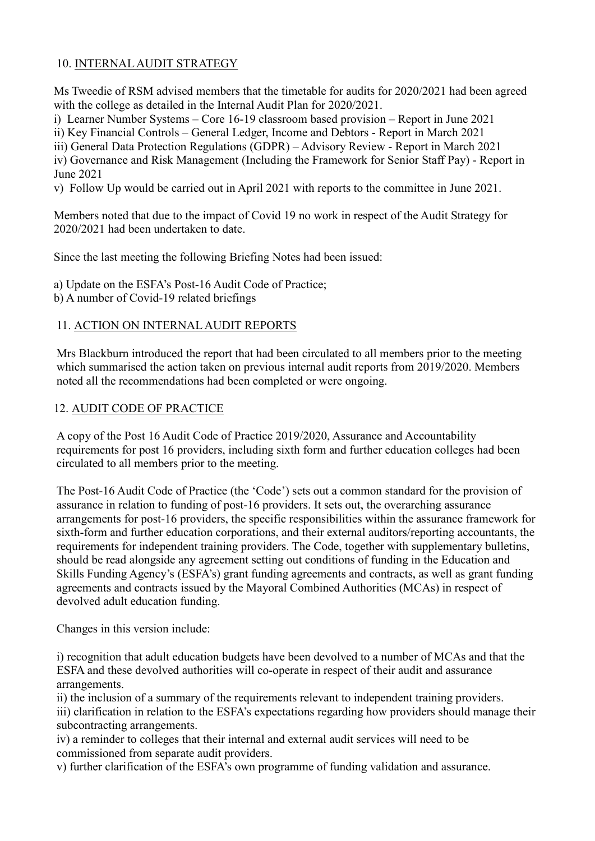## 10. INTERNAL AUDIT STRATEGY

Ms Tweedie of RSM advised members that the timetable for audits for 2020/2021 had been agreed with the college as detailed in the Internal Audit Plan for 2020/2021.

i) Learner Number Systems – Core 16-19 classroom based provision – Report in June 2021

ii) Key Financial Controls – General Ledger, Income and Debtors - Report in March 2021

iii) General Data Protection Regulations (GDPR) – Advisory Review - Report in March 2021

iv) Governance and Risk Management (Including the Framework for Senior Staff Pay) - Report in June 2021

v) Follow Up would be carried out in April 2021 with reports to the committee in June 2021.

Members noted that due to the impact of Covid 19 no work in respect of the Audit Strategy for 2020/2021 had been undertaken to date.

Since the last meeting the following Briefing Notes had been issued:

a) Update on the ESFA's Post-16 Audit Code of Practice;

b) A number of Covid-19 related briefings

## 11. ACTION ON INTERNAL AUDIT REPORTS

Mrs Blackburn introduced the report that had been circulated to all members prior to the meeting which summarised the action taken on previous internal audit reports from 2019/2020. Members noted all the recommendations had been completed or were ongoing.

### 12. AUDIT CODE OF PRACTICE

A copy of the Post 16 Audit Code of Practice 2019/2020, Assurance and Accountability requirements for post 16 providers, including sixth form and further education colleges had been circulated to all members prior to the meeting.

The Post-16 Audit Code of Practice (the 'Code') sets out a common standard for the provision of assurance in relation to funding of post-16 providers. It sets out, the overarching assurance arrangements for post-16 providers, the specific responsibilities within the assurance framework for sixth-form and further education corporations, and their external auditors/reporting accountants, the requirements for independent training providers. The Code, together with supplementary bulletins, should be read alongside any agreement setting out conditions of funding in the Education and Skills Funding Agency's (ESFA's) grant funding agreements and contracts, as well as grant funding agreements and contracts issued by the Mayoral Combined Authorities (MCAs) in respect of devolved adult education funding.

Changes in this version include:

i) recognition that adult education budgets have been devolved to a number of MCAs and that the ESFA and these devolved authorities will co-operate in respect of their audit and assurance arrangements.

ii) the inclusion of a summary of the requirements relevant to independent training providers. iii) clarification in relation to the ESFA's expectations regarding how providers should manage their subcontracting arrangements.

iv) a reminder to colleges that their internal and external audit services will need to be commissioned from separate audit providers.

v) further clarification of the ESFA's own programme of funding validation and assurance.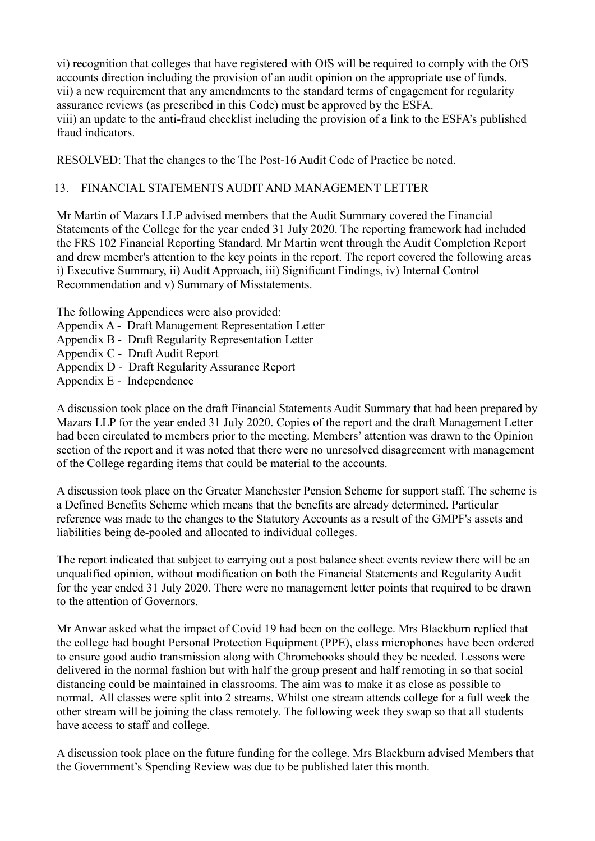vi) recognition that colleges that have registered with OfS will be required to comply with the OfS accounts direction including the provision of an audit opinion on the appropriate use of funds. vii) a new requirement that any amendments to the standard terms of engagement for regularity assurance reviews (as prescribed in this Code) must be approved by the ESFA. viii) an update to the anti-fraud checklist including the provision of a link to the ESFA's published fraud indicators.

RESOLVED: That the changes to the The Post-16 Audit Code of Practice be noted.

### 13. FINANCIAL STATEMENTS AUDIT AND MANAGEMENT LETTER

Mr Martin of Mazars LLP advised members that the Audit Summary covered the Financial Statements of the College for the year ended 31 July 2020. The reporting framework had included the FRS 102 Financial Reporting Standard. Mr Martin went through the Audit Completion Report and drew member's attention to the key points in the report. The report covered the following areas i) Executive Summary, ii) Audit Approach, iii) Significant Findings, iv) Internal Control Recommendation and v) Summary of Misstatements.

The following Appendices were also provided:

- Appendix A Draft Management Representation Letter
- Appendix B Draft Regularity Representation Letter
- Appendix C Draft Audit Report
- Appendix D Draft Regularity Assurance Report
- Appendix E Independence

A discussion took place on the draft Financial Statements Audit Summary that had been prepared by Mazars LLP for the year ended 31 July 2020. Copies of the report and the draft Management Letter had been circulated to members prior to the meeting. Members' attention was drawn to the Opinion section of the report and it was noted that there were no unresolved disagreement with management of the College regarding items that could be material to the accounts.

A discussion took place on the Greater Manchester Pension Scheme for support staff. The scheme is a Defined Benefits Scheme which means that the benefits are already determined. Particular reference was made to the changes to the Statutory Accounts as a result of the GMPF's assets and liabilities being de-pooled and allocated to individual colleges.

The report indicated that subject to carrying out a post balance sheet events review there will be an unqualified opinion, without modification on both the Financial Statements and Regularity Audit for the year ended 31 July 2020. There were no management letter points that required to be drawn to the attention of Governors.

Mr Anwar asked what the impact of Covid 19 had been on the college. Mrs Blackburn replied that the college had bought Personal Protection Equipment (PPE), class microphones have been ordered to ensure good audio transmission along with Chromebooks should they be needed. Lessons were delivered in the normal fashion but with half the group present and half remoting in so that social distancing could be maintained in classrooms. The aim was to make it as close as possible to normal. All classes were split into 2 streams. Whilst one stream attends college for a full week the other stream will be joining the class remotely. The following week they swap so that all students have access to staff and college.

A discussion took place on the future funding for the college. Mrs Blackburn advised Members that the Government's Spending Review was due to be published later this month.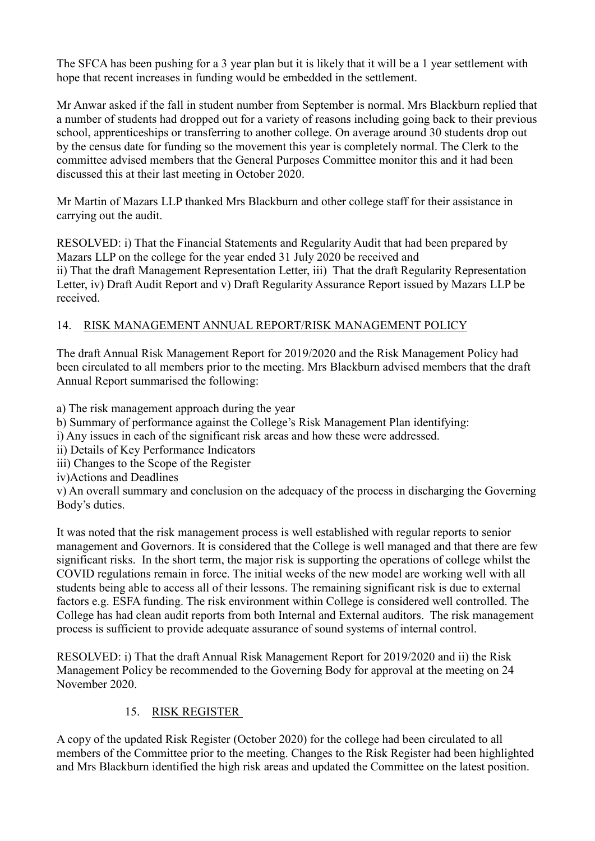The SFCA has been pushing for a 3 year plan but it is likely that it will be a 1 year settlement with hope that recent increases in funding would be embedded in the settlement.

Mr Anwar asked if the fall in student number from September is normal. Mrs Blackburn replied that a number of students had dropped out for a variety of reasons including going back to their previous school, apprenticeships or transferring to another college. On average around 30 students drop out by the census date for funding so the movement this year is completely normal. The Clerk to the committee advised members that the General Purposes Committee monitor this and it had been discussed this at their last meeting in October 2020.

Mr Martin of Mazars LLP thanked Mrs Blackburn and other college staff for their assistance in carrying out the audit.

RESOLVED: i) That the Financial Statements and Regularity Audit that had been prepared by Mazars LLP on the college for the year ended 31 July 2020 be received and ii) That the draft Management Representation Letter, iii) That the draft Regularity Representation Letter, iv) Draft Audit Report and v) Draft Regularity Assurance Report issued by Mazars LLP be received.

## 14. RISK MANAGEMENT ANNUAL REPORT/RISK MANAGEMENT POLICY

The draft Annual Risk Management Report for 2019/2020 and the Risk Management Policy had been circulated to all members prior to the meeting. Mrs Blackburn advised members that the draft Annual Report summarised the following:

a) The risk management approach during the year

b) Summary of performance against the College's Risk Management Plan identifying:

i) Any issues in each of the significant risk areas and how these were addressed.

ii) Details of Key Performance Indicators

iii) Changes to the Scope of the Register

iv)Actions and Deadlines

v) An overall summary and conclusion on the adequacy of the process in discharging the Governing Body's duties.

It was noted that the risk management process is well established with regular reports to senior management and Governors. It is considered that the College is well managed and that there are few significant risks. In the short term, the major risk is supporting the operations of college whilst the COVID regulations remain in force. The initial weeks of the new model are working well with all students being able to access all of their lessons. The remaining significant risk is due to external factors e.g. ESFA funding. The risk environment within College is considered well controlled. The College has had clean audit reports from both Internal and External auditors. The risk management process is sufficient to provide adequate assurance of sound systems of internal control.

RESOLVED: i) That the draft Annual Risk Management Report for 2019/2020 and ii) the Risk Management Policy be recommended to the Governing Body for approval at the meeting on 24 November 2020.

## 15. RISK REGISTER

A copy of the updated Risk Register (October 2020) for the college had been circulated to all members of the Committee prior to the meeting. Changes to the Risk Register had been highlighted and Mrs Blackburn identified the high risk areas and updated the Committee on the latest position.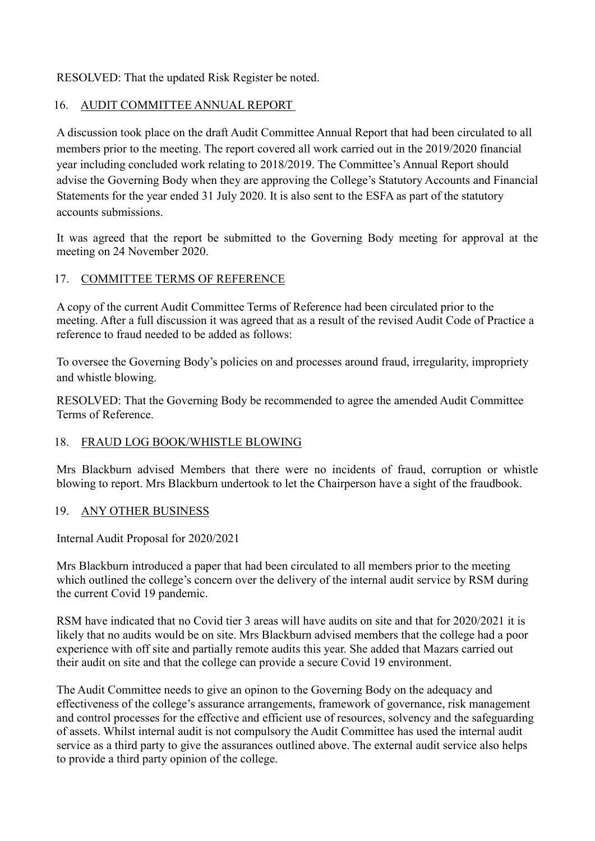RESOLVED: That the updated Risk Register be noted.

### 16. AUDIT COMMITTEE ANNUAL REPORT

A discussion took place on the draft Audit Committee Annual Report that had been circulated to all members prior to the meeting. The report covered all work carried out in the 2019/2020 financial year including concluded work relating to 2018/2019. The Committee's Annual Report should advise the Governing Body when they are approving the College's Statutory Accounts and Financial Statements for the year ended 31 July 2020. It is also sent to the ESFA as part of the statutory accounts submissions.

It was agreed that the report be submitted to the Governing Body meeting for approval at the meeting on 24 November 2020.

### 17. COMMITTEE TERMS OF REFERENCE

A copy of the current Audit Committee Terms of Reference had been circulated prior to the meeting. After a full discussion it was agreed that as a result of the revised Audit Code of Practice a reference to fraud needed to be added as follows:

To oversee the Governing Body's policies on and processes around fraud, irregularity, impropriety and whistle blowing.

RESOLVED: That the Governing Body be recommended to agree the amended Audit Committee Terms of Reference.

## 18. FRAUD LOG BOOK/WHISTLE BLOWING

Mrs Blackburn advised Members that there were no incidents of fraud, corruption or whistle blowing to report. Mrs Blackburn undertook to let the Chairperson have a sight of the fraudbook.

### 19. ANY OTHER BUSINESS

Internal Audit Proposal for 2020/2021

Mrs Blackburn introduced a paper that had been circulated to all members prior to the meeting which outlined the college's concern over the delivery of the internal audit service by RSM during the current Covid 19 pandemic.

RSM have indicated that no Covid tier 3 areas will have audits on site and that for 2020/2021 it is likely that no audits would be on site. Mrs Blackburn advised members that the college had a poor experience with off site and partially remote audits this year. She added that Mazars carried out their audit on site and that the college can provide a secure Covid 19 environment.

The Audit Committee needs to give an opinon to the Governing Body on the adequacy and effectiveness of the college's assurance arrangements, framework of governance, risk management and control processes for the effective and efficient use of resources, solvency and the safeguarding of assets. Whilst internal audit is not compulsory the Audit Committee has used the internal audit service as a third party to give the assurances outlined above. The external audit service also helps to provide a third party opinion of the college.